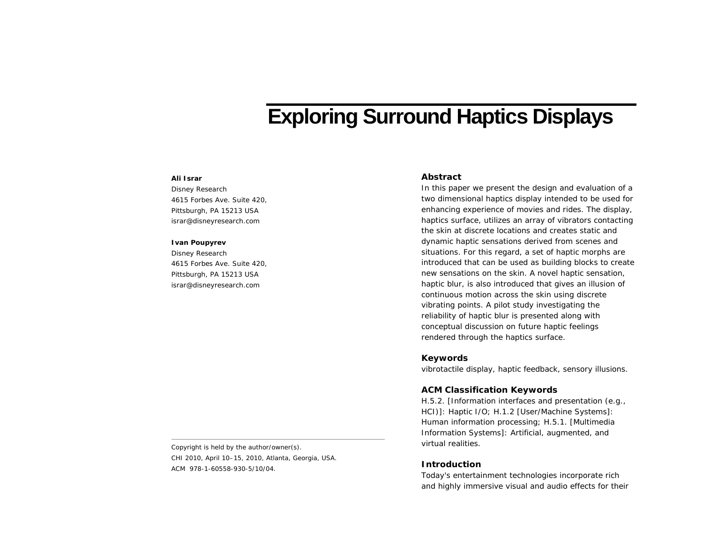# **Exploring Surround Haptics Displays**

# **Ali Israr**

Disney Research 4615 Forbes Ave. Suite 420, Pittsburgh, PA 15213 USA israr@disneyresearch.com

#### **Ivan Poupyrev**

Disney Research 4615 Forbes Ave. Suite 420, Pittsburgh, PA 15213 USA israr@disneyresearch.com

## **Abstract**

In this paper we present the design and evaluation of a two dimensional haptics display intended to be used for enhancing experience of movies and rides. The display, haptics surface, utilizes an array of vibrators contacting the skin at discrete locations and creates static and dynamic haptic sensations derived from scenes and situations. For this regard, a set of haptic morphs are introduced that can be used as building blocks to create new sensations on the skin. A novel haptic sensation, *haptic blur*, is also introduced that gives an illusion of continuous motion across the skin using discrete vibrating points. A pilot study investigating the reliability of haptic blur is presented along with conceptual discussion on future haptic feelings rendered through the haptics surface.

## **Keywords**

vibrotactile display, haptic feedback, sensory illusions.

#### **ACM Classification Keywords**

H.5.2. [Information interfaces and presentation (e.g., HCI)]: Haptic I/O; H.1.2 [User/Machine Systems]: Human information processing; H.5.1. [Multimedia Information Systems]: Artificial, augmented, and virtual realities.

## **Introduction**

Today's entertainment technologies incorporate rich and highly immersive visual and audio effects for their

Copyright is held by the author/owner(s). *CHI 2010*, April 10–15, 2010, Atlanta, Georgia, USA. ACM 978-1-60558-930-5/10/04.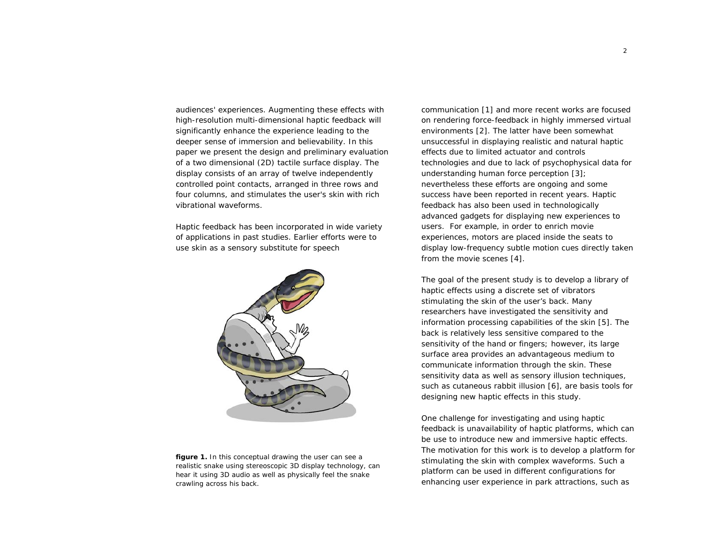audiences' experiences. Augmenting these effects with high-resolution multi-dimensional haptic feedback will significantly enhance the experience leading to the deeper sense of immersion and believability. In this paper we present the design and preliminary evaluation of a two dimensional (2D) tactile surface display. The display consists of an array of twelve independently controlled point contacts, arranged in three rows and four columns, and stimulates the user's skin with rich vibrational waveforms.

Haptic feedback has been incorporated in wide variety of applications in past studies. Earlier efforts were to use skin as a sensory substitute for speech



**figure 1.** In this conceptual drawing the user can see a realistic snake using stereoscopic 3D display technology, can hear it using 3D audio as well as physically feel the snake crawling across his back.

communication [1] and more recent works are focused on rendering force-feedback in highly immersed virtual environments [2]. The latter have been somewhat unsuccessful in displaying realistic and natural haptic effects due to limited actuator and controls technologies and due to lack of psychophysical data for understanding human force perception [3]; nevertheless these efforts are ongoing and some success have been reported in recent years. Haptic feedback has also been used in technologically advanced gadgets for displaying new experiences to users. For example, in order to enrich movie experiences, motors are placed inside the seats to display low-frequency subtle motion cues directly taken from the movie scenes [4].

The goal of the present study is to develop a library of haptic effects using a discrete set of vibrators stimulating the skin of the user's back. Many researchers have investigated the sensitivity and information processing capabilities of the skin [5]. The back is relatively less sensitive compared to the sensitivity of the hand or fingers; however, its large surface area provides an advantageous medium to communicate information through the skin. These sensitivity data as well as sensory illusion techniques, such as cutaneous rabbit illusion [6], are basis tools for designing new haptic effects in this study.

One challenge for investigating and using haptic feedback is unavailability of haptic platforms, which can be use to introduce new and immersive haptic effects. The motivation for this work is to develop a platform for stimulating the skin with complex waveforms. Such a platform can be used in different configurations for enhancing user experience in park attractions, such as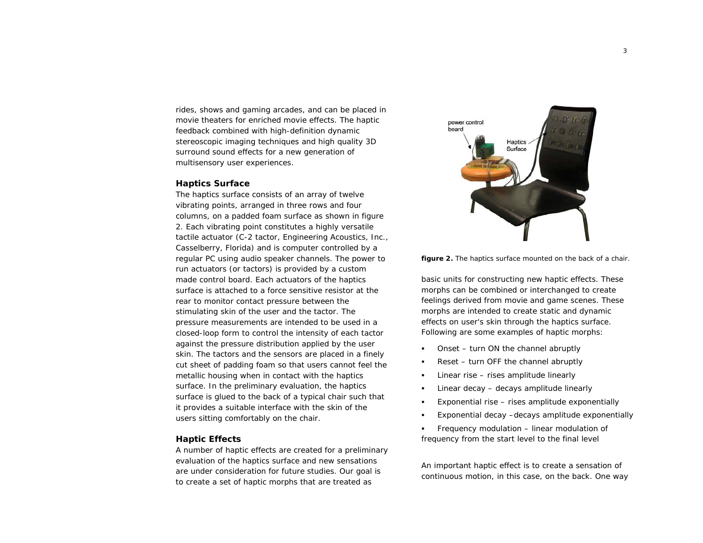rides, shows and gaming arcades, and can be placed in movie theaters for enriched movie effects. The haptic feedback combined with high-definition dynamic stereoscopic imaging techniques and high quality 3D surround sound effects for a new generation of multisensory user experiences.

#### **Haptics Surface**

The haptics surface consists of an array of twelve vibrating points, arranged in three rows and four columns, on a padded foam surface as shown in figure 2. Each vibrating point constitutes a highly versatile tactile actuator (C-2 tactor, Engineering Acoustics, Inc., Casselberry, Florida) and is computer controlled by a regular PC using audio speaker channels. The power to run actuators (or tactors) is provided by a custom made control board. Each actuators of the haptics surface is attached to a force sensitive resistor at the rear to monitor contact pressure between the stimulating skin of the user and the tactor. The pressure measurements are intended to be used in a closed-loop form to control the intensity of each tactor against the pressure distribution applied by the user skin. The tactors and the sensors are placed in a finely cut sheet of padding foam so that users cannot feel the metallic housing when in contact with the haptics surface. In the preliminary evaluation, the haptics surface is glued to the back of a typical chair such that it provides a suitable interface with the skin of the users sitting comfortably on the chair.

## **Haptic Effects**

A number of haptic effects are created for a preliminary evaluation of the haptics surface and new sensations are under consideration for future studies. Our goal is to create a set of haptic morphs that are treated as





basic units for constructing new haptic effects. These morphs can be combined or interchanged to create feelings derived from movie and game scenes. These morphs are intended to create static and dynamic effects on user's skin through the haptics surface. Following are some examples of haptic morphs:

- п *Onset* – turn ON the channel abruptly
- п *Reset* – turn OFF the channel abruptly
- п *Linear rise* – rises amplitude linearly
- п *Linear decay* – decays amplitude linearly
- п *Exponential rise* – rises amplitude exponentially
- п *Exponential decay* –decays amplitude exponentially
- п *Frequency modulation* – linear modulation of frequency from the start level to the final level

An important haptic effect is to create a sensation of continuous motion, in this case, on the back. One way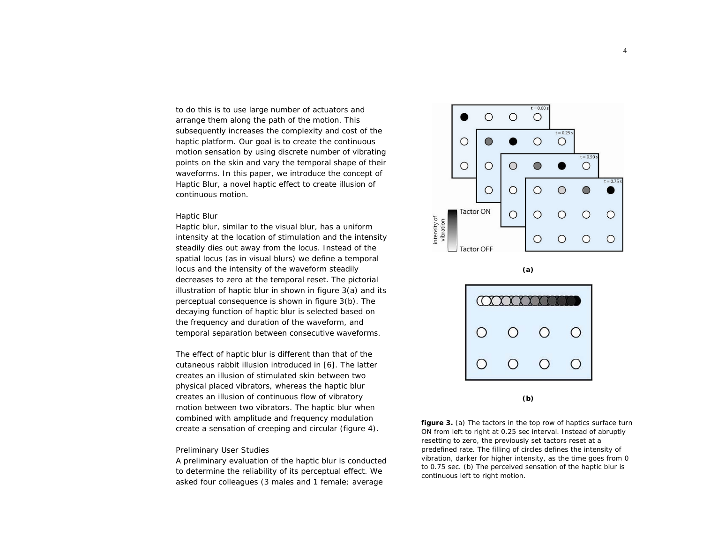to do this is to use large number of actuators and arrange them along the path of the motion. This subsequently increases the complexity and cost of the haptic platform. Our goal is to create the continuous motion sensation by using discrete number of vibrating points on the skin and vary the temporal shape of their waveforms. In this paper, we introduce the concept of *Haptic Blur*, a novel haptic effect to create illusion of continuous motion.

#### *Haptic Blur*

Haptic blur, similar to the visual blur, has a uniform intensity at the location of stimulation and the intensity steadily dies out away from the locus. Instead of the spatial locus (as in visual blurs) we define a temporal locus and the intensity of the waveform steadily decreases to zero at the temporal reset. The pictorial illustration of haptic blur in shown in figure 3(a) and its perceptual consequence is shown in figure 3(b). The decaying function of haptic blur is selected based on the frequency and duration of the waveform, and temporal separation between consecutive waveforms.

The effect of haptic blur is different than that of the cutaneous rabbit illusion introduced in [6]. The latter creates an illusion of stimulated skin between two physical placed vibrators, whereas the haptic blur creates an illusion of continuous flow of vibratory motion between two vibrators. The haptic blur when combined with amplitude and frequency modulation create a sensation of creeping and circular (figure 4).

#### *Preliminary User Studies*

A preliminary evaluation of the haptic blur is conducted to determine the reliability of its perceptual effect. We asked four colleagues (3 males and 1 female; average







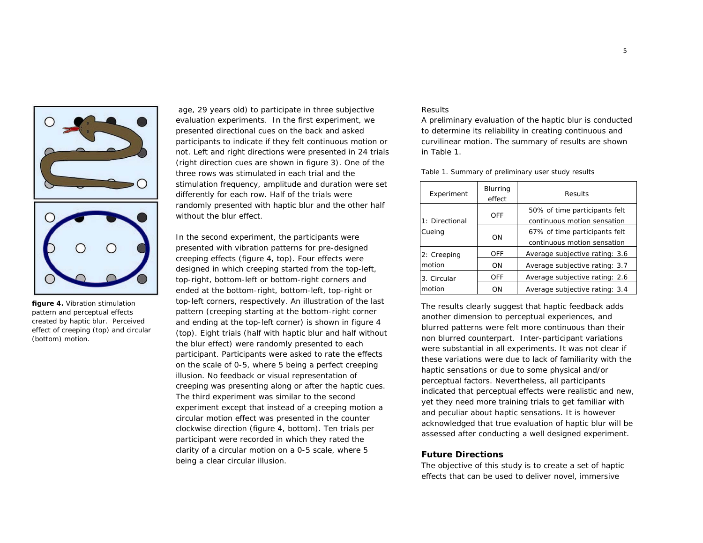

**figure 4.** Vibration stimulation pattern and perceptual effects created by haptic blur. Perceived effect of *creeping* (top) and *circular* (bottom) motion.

 age, 29 years old) to participate in three subjective evaluation experiments. In the first experiment, we presented directional cues on the back and asked participants to indicate if they felt continuous motion or not. Left and right directions were presented in 24 trials (right direction cues are shown in figure 3). One of the three rows was stimulated in each trial and the stimulation frequency, amplitude and duration were set differently for each row. Half of the trials were randomly presented with haptic blur and the other half without the blur effect.

In the second experiment, the participants were presented with vibration patterns for pre-designed creeping effects (figure 4, top). Four effects were designed in which creeping started from the top-left, top-right, bottom-left or bottom-right corners and ended at the bottom-right, bottom-left, top-right or top-left corners, respectively. An illustration of the last pattern (creeping starting at the bottom-right corner and ending at the top-left corner) is shown in figure 4 (top). Eight trials (half with haptic blur and half without the blur effect) were randomly presented to each participant. Participants were asked to rate the effects on the scale of 0-5, where 5 being a perfect creeping illusion. No feedback or visual representation of creeping was presenting along or after the haptic cues. The third experiment was similar to the second experiment except that instead of a creeping motion a circular motion effect was presented in the counter clockwise direction (figure 4, bottom). Ten trials per participant were recorded in which they rated the clarity of a circular motion on a 0-5 scale, where 5 being a clear circular illusion.

# *Results*

A preliminary evaluation of the haptic blur is conducted to determine its reliability in creating continuous and curvilinear motion. The summary of results are shown in Table 1.

Table 1. Summary of preliminary user study results

| Experiment               | Blurring<br>effect | Results                                                      |
|--------------------------|--------------------|--------------------------------------------------------------|
| 1: Directional<br>Cueing | OFF                | 50% of time participants felt<br>continuous motion sensation |
|                          | ON                 | 67% of time participants felt<br>continuous motion sensation |
| 2: Creeping<br>motion    | OFF                | Average subjective rating: 3.6                               |
|                          | ON                 | Average subjective rating: 3.7                               |
| 3. Circular<br>motion    | <b>OFF</b>         | Average subjective rating: 2.6                               |
|                          | ON                 | Average subjective rating: 3.4                               |

The results clearly suggest that haptic feedback adds another dimension to perceptual experiences, and blurred patterns were felt more continuous than their non blurred counterpart. Inter-participant variations were substantial in all experiments. It was not clear if these variations were due to lack of familiarity with the haptic sensations or due to some physical and/or perceptual factors. Nevertheless, all participants indicated that perceptual effects were realistic and new, yet they need more training trials to get familiar with and peculiar about haptic sensations. It is however acknowledged that true evaluation of haptic blur will be assessed after conducting a well designed experiment.

# **Future Directions**

The objective of this study is to create a set of haptic effects that can be used to deliver novel, immersive